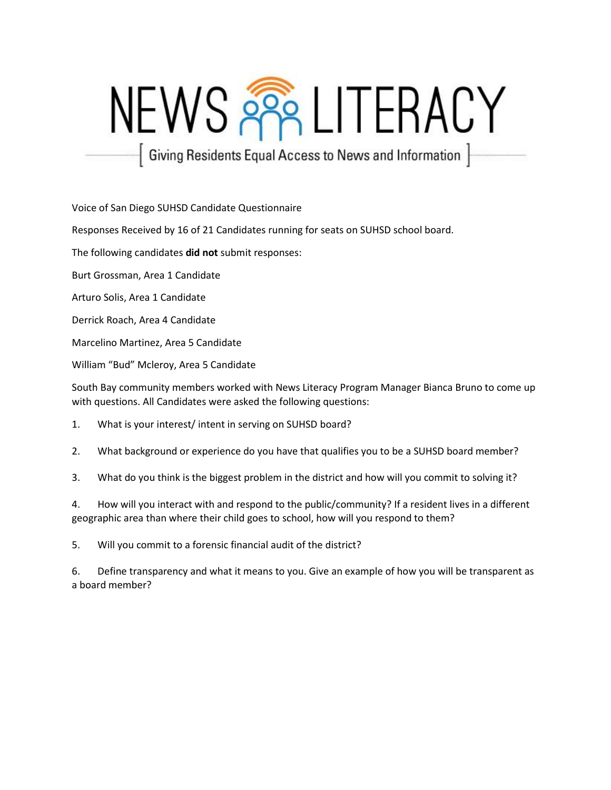# NEWS PRELITERACY

| Giving Residents Equal Access to News and Information |

Voice of San Diego SUHSD Candidate Questionnaire

Responses Received by 16 of 21 Candidates running for seats on SUHSD school board.

The following candidates **did not** submit responses:

Burt Grossman, Area 1 Candidate

Arturo Solis, Area 1 Candidate

Derrick Roach, Area 4 Candidate

Marcelino Martinez, Area 5 Candidate

William "Bud" Mcleroy, Area 5 Candidate

South Bay community members worked with News Literacy Program Manager Bianca Bruno to come up with questions. All Candidates were asked the following questions:

1. What is your interest/ intent in serving on SUHSD board?

2. What background or experience do you have that qualifies you to be a SUHSD board member?

3. What do you think is the biggest problem in the district and how will you commit to solving it?

4. How will you interact with and respond to the public/community? If a resident lives in a different geographic area than where their child goes to school, how will you respond to them?

5. Will you commit to a forensic financial audit of the district?

6. Define transparency and what it means to you. Give an example of how you will be transparent as a board member?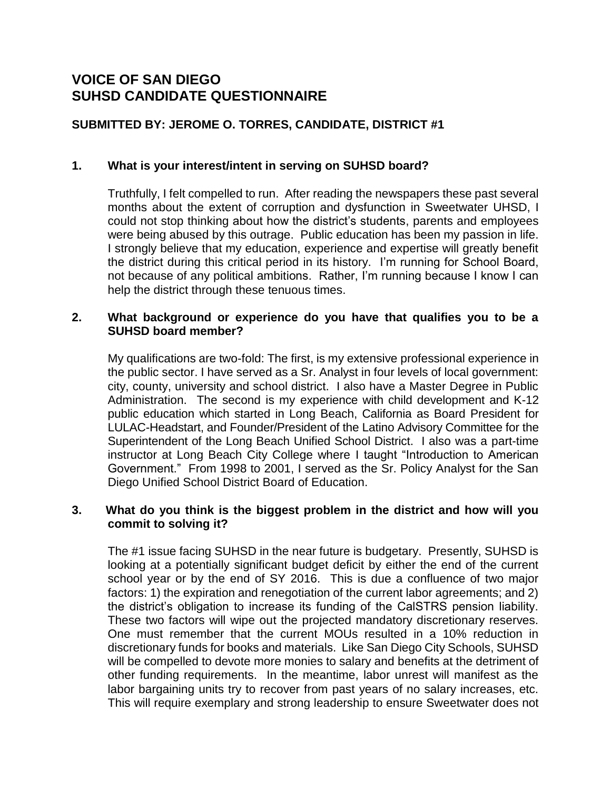# **VOICE OF SAN DIEGO SUHSD CANDIDATE QUESTIONNAIRE**

## **SUBMITTED BY: JEROME O. TORRES, CANDIDATE, DISTRICT #1**

#### **1. What is your interest/intent in serving on SUHSD board?**

Truthfully, I felt compelled to run. After reading the newspapers these past several months about the extent of corruption and dysfunction in Sweetwater UHSD, I could not stop thinking about how the district's students, parents and employees were being abused by this outrage. Public education has been my passion in life. I strongly believe that my education, experience and expertise will greatly benefit the district during this critical period in its history. I'm running for School Board, not because of any political ambitions. Rather, I'm running because I know I can help the district through these tenuous times.

#### **2. What background or experience do you have that qualifies you to be a SUHSD board member?**

My qualifications are two-fold: The first, is my extensive professional experience in the public sector. I have served as a Sr. Analyst in four levels of local government: city, county, university and school district. I also have a Master Degree in Public Administration. The second is my experience with child development and K-12 public education which started in Long Beach, California as Board President for LULAC-Headstart, and Founder/President of the Latino Advisory Committee for the Superintendent of the Long Beach Unified School District. I also was a part-time instructor at Long Beach City College where I taught "Introduction to American Government." From 1998 to 2001, I served as the Sr. Policy Analyst for the San Diego Unified School District Board of Education.

#### **3. What do you think is the biggest problem in the district and how will you commit to solving it?**

The #1 issue facing SUHSD in the near future is budgetary. Presently, SUHSD is looking at a potentially significant budget deficit by either the end of the current school year or by the end of SY 2016. This is due a confluence of two major factors: 1) the expiration and renegotiation of the current labor agreements; and 2) the district's obligation to increase its funding of the CalSTRS pension liability. These two factors will wipe out the projected mandatory discretionary reserves. One must remember that the current MOUs resulted in a 10% reduction in discretionary funds for books and materials. Like San Diego City Schools, SUHSD will be compelled to devote more monies to salary and benefits at the detriment of other funding requirements. In the meantime, labor unrest will manifest as the labor bargaining units try to recover from past years of no salary increases, etc. This will require exemplary and strong leadership to ensure Sweetwater does not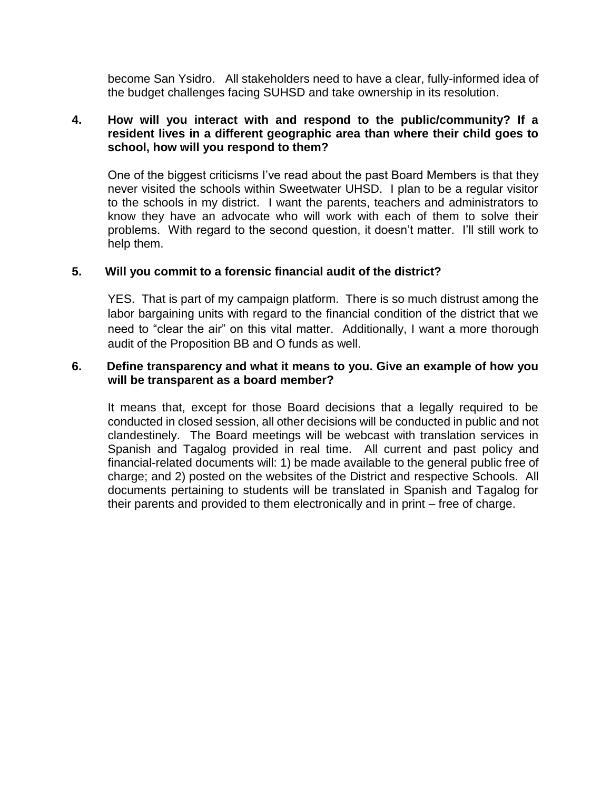become San Ysidro. All stakeholders need to have a clear, fully-informed idea of the budget challenges facing SUHSD and take ownership in its resolution.

#### **4. How will you interact with and respond to the public/community? If a resident lives in a different geographic area than where their child goes to school, how will you respond to them?**

One of the biggest criticisms I've read about the past Board Members is that they never visited the schools within Sweetwater UHSD. I plan to be a regular visitor to the schools in my district. I want the parents, teachers and administrators to know they have an advocate who will work with each of them to solve their problems. With regard to the second question, it doesn't matter. I'll still work to help them.

#### **5. Will you commit to a forensic financial audit of the district?**

YES. That is part of my campaign platform. There is so much distrust among the labor bargaining units with regard to the financial condition of the district that we need to "clear the air" on this vital matter. Additionally, I want a more thorough audit of the Proposition BB and O funds as well.

#### **6. Define transparency and what it means to you. Give an example of how you will be transparent as a board member?**

It means that, except for those Board decisions that a legally required to be conducted in closed session, all other decisions will be conducted in public and not clandestinely. The Board meetings will be webcast with translation services in Spanish and Tagalog provided in real time. All current and past policy and financial-related documents will: 1) be made available to the general public free of charge; and 2) posted on the websites of the District and respective Schools. All documents pertaining to students will be translated in Spanish and Tagalog for their parents and provided to them electronically and in print – free of charge.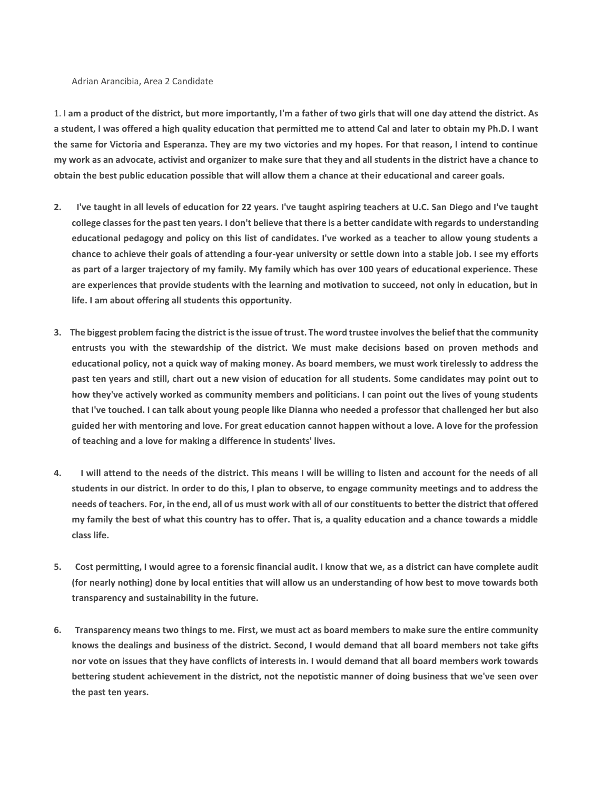#### Adrian Arancibia, Area 2 Candidate

1. I **am a product of the district, but more importantly, I'm a father of two girls that will one day attend the district. As a student, I was offered a high quality education that permitted me to attend Cal and later to obtain my Ph.D. I want the same for Victoria and Esperanza. They are my two victories and my hopes. For that reason, I intend to continue my work as an advocate, activist and organizer to make sure that they and all students in the district have a chance to obtain the best public education possible that will allow them a chance at their educational and career goals.**

- **2. I've taught in all levels of education for 22 years. I've taught aspiring teachers at U.C. San Diego and I've taught college classes for the past ten years. I don't believe that there is a better candidate with regards to understanding educational pedagogy and policy on this list of candidates. I've worked as a teacher to allow young students a chance to achieve their goals of attending a four-year university or settle down into a stable job. I see my efforts as part of a larger trajectory of my family. My family which has over 100 years of educational experience. These are experiences that provide students with the learning and motivation to succeed, not only in education, but in life. I am about offering all students this opportunity.**
- **3. The biggest problem facing the district is the issue of trust. The word trustee involves the belief that the community entrusts you with the stewardship of the district. We must make decisions based on proven methods and educational policy, not a quick way of making money. As board members, we must work tirelessly to address the past ten years and still, chart out a new vision of education for all students. Some candidates may point out to how they've actively worked as community members and politicians. I can point out the lives of young students that I've touched. I can talk about young people like Dianna who needed a professor that challenged her but also guided her with mentoring and love. For great education cannot happen without a love. A love for the profession of teaching and a love for making a difference in students' lives.**
- **4. I will attend to the needs of the district. This means I will be willing to listen and account for the needs of all students in our district. In order to do this, I plan to observe, to engage community meetings and to address the needs of teachers. For, in the end, all of us must work with all of our constituents to better the district that offered my family the best of what this country has to offer. That is, a quality education and a chance towards a middle class life.**
- **5. Cost permitting, I would agree to a forensic financial audit. I know that we, as a district can have complete audit (for nearly nothing) done by local entities that will allow us an understanding of how best to move towards both transparency and sustainability in the future.**
- **6. Transparency means two things to me. First, we must act as board members to make sure the entire community knows the dealings and business of the district. Second, I would demand that all board members not take gifts nor vote on issues that they have conflicts of interests in. I would demand that all board members work towards bettering student achievement in the district, not the nepotistic manner of doing business that we've seen over the past ten years.**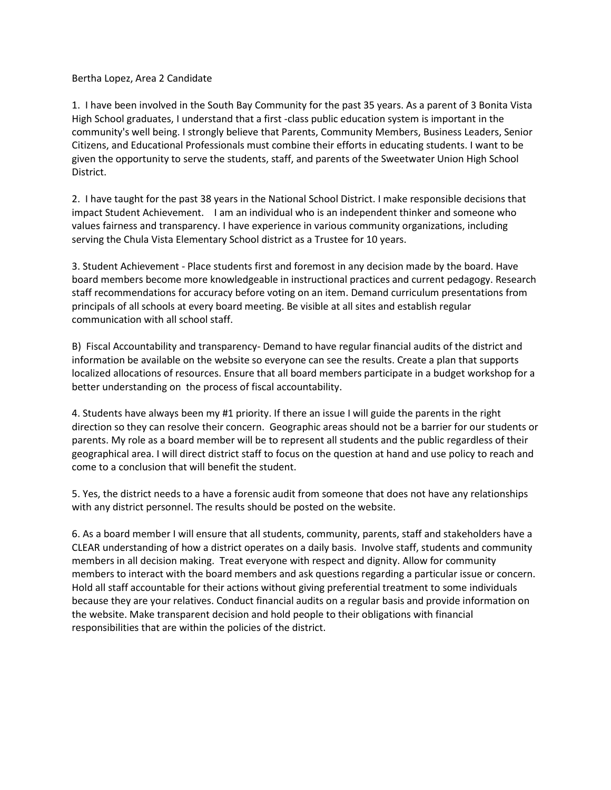Bertha Lopez, Area 2 Candidate

1. I have been involved in the South Bay Community for the past 35 years. As a parent of 3 Bonita Vista High School graduates, I understand that a first -class public education system is important in the community's well being. I strongly believe that Parents, Community Members, Business Leaders, Senior Citizens, and Educational Professionals must combine their efforts in educating students. I want to be given the opportunity to serve the students, staff, and parents of the Sweetwater Union High School District.

2. I have taught for the past 38 years in the National School District. I make responsible decisions that impact Student Achievement. I am an individual who is an independent thinker and someone who values fairness and transparency. I have experience in various community organizations, including serving the Chula Vista Elementary School district as a Trustee for 10 years.

3. Student Achievement - Place students first and foremost in any decision made by the board. Have board members become more knowledgeable in instructional practices and current pedagogy. Research staff recommendations for accuracy before voting on an item. Demand curriculum presentations from principals of all schools at every board meeting. Be visible at all sites and establish regular communication with all school staff.

B) Fiscal Accountability and transparency- Demand to have regular financial audits of the district and information be available on the website so everyone can see the results. Create a plan that supports localized allocations of resources. Ensure that all board members participate in a budget workshop for a better understanding on the process of fiscal accountability.

4. Students have always been my #1 priority. If there an issue I will guide the parents in the right direction so they can resolve their concern. Geographic areas should not be a barrier for our students or parents. My role as a board member will be to represent all students and the public regardless of their geographical area. I will direct district staff to focus on the question at hand and use policy to reach and come to a conclusion that will benefit the student.

5. Yes, the district needs to a have a forensic audit from someone that does not have any relationships with any district personnel. The results should be posted on the website.

6. As a board member I will ensure that all students, community, parents, staff and stakeholders have a CLEAR understanding of how a district operates on a daily basis. Involve staff, students and community members in all decision making. Treat everyone with respect and dignity. Allow for community members to interact with the board members and ask questions regarding a particular issue or concern. Hold all staff accountable for their actions without giving preferential treatment to some individuals because they are your relatives. Conduct financial audits on a regular basis and provide information on the website. Make transparent decision and hold people to their obligations with financial responsibilities that are within the policies of the district.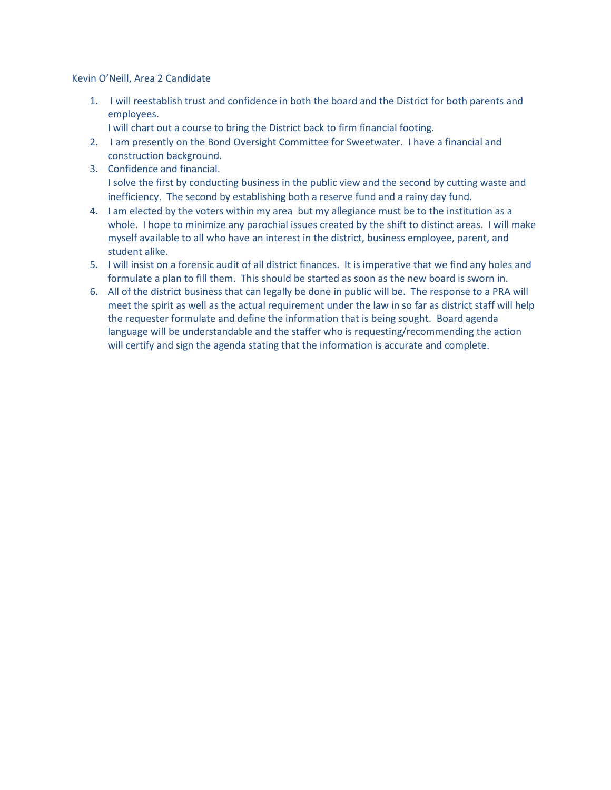Kevin O'Neill, Area 2 Candidate

1. I will reestablish trust and confidence in both the board and the District for both parents and employees.

I will chart out a course to bring the District back to firm financial footing.

- 2. I am presently on the Bond Oversight Committee for Sweetwater. I have a financial and construction background.
- 3. Confidence and financial. I solve the first by conducting business in the public view and the second by cutting waste and inefficiency. The second by establishing both a reserve fund and a rainy day fund.
- 4. I am elected by the voters within my area but my allegiance must be to the institution as a whole. I hope to minimize any parochial issues created by the shift to distinct areas. I will make myself available to all who have an interest in the district, business employee, parent, and student alike.
- 5. I will insist on a forensic audit of all district finances. It is imperative that we find any holes and formulate a plan to fill them. This should be started as soon as the new board is sworn in.
- 6. All of the district business that can legally be done in public will be. The response to a PRA will meet the spirit as well as the actual requirement under the law in so far as district staff will help the requester formulate and define the information that is being sought. Board agenda language will be understandable and the staffer who is requesting/recommending the action will certify and sign the agenda stating that the information is accurate and complete.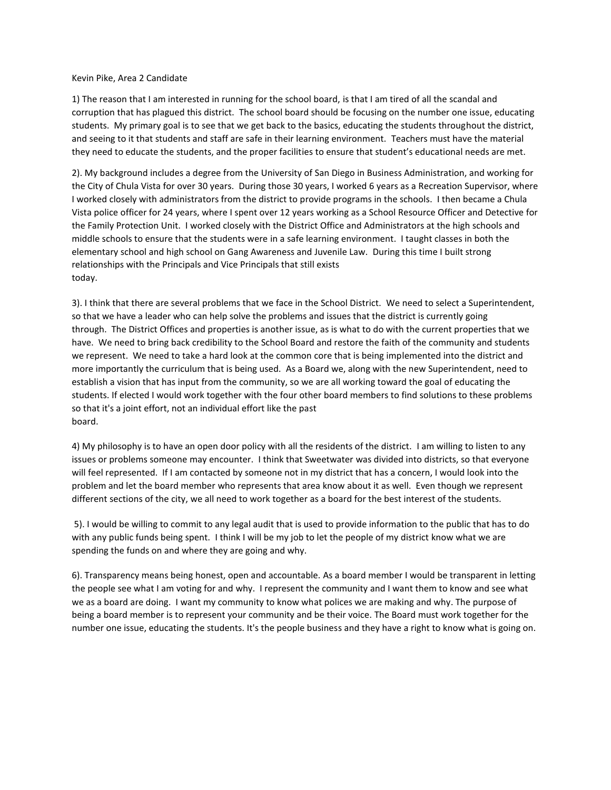#### Kevin Pike, Area 2 Candidate

1) The reason that I am interested in running for the school board, is that I am tired of all the scandal and corruption that has plagued this district. The school board should be focusing on the number one issue, educating students. My primary goal is to see that we get back to the basics, educating the students throughout the district, and seeing to it that students and staff are safe in their learning environment. Teachers must have the material they need to educate the students, and the proper facilities to ensure that student's educational needs are met.

2). My background includes a degree from the University of San Diego in Business Administration, and working for the City of Chula Vista for over 30 years. During those 30 years, I worked 6 years as a Recreation Supervisor, where I worked closely with administrators from the district to provide programs in the schools. I then became a Chula Vista police officer for 24 years, where I spent over 12 years working as a School Resource Officer and Detective for the Family Protection Unit. I worked closely with the District Office and Administrators at the high schools and middle schools to ensure that the students were in a safe learning environment. I taught classes in both the elementary school and high school on Gang Awareness and Juvenile Law. During this time I built strong relationships with the Principals and Vice Principals that still exists today.

3). I think that there are several problems that we face in the School District. We need to select a Superintendent, so that we have a leader who can help solve the problems and issues that the district is currently going through. The District Offices and properties is another issue, as is what to do with the current properties that we have. We need to bring back credibility to the School Board and restore the faith of the community and students we represent. We need to take a hard look at the common core that is being implemented into the district and more importantly the curriculum that is being used. As a Board we, along with the new Superintendent, need to establish a vision that has input from the community, so we are all working toward the goal of educating the students. If elected I would work together with the four other board members to find solutions to these problems so that it's a joint effort, not an individual effort like the past board.

4) My philosophy is to have an open door policy with all the residents of the district. I am willing to listen to any issues or problems someone may encounter. I think that Sweetwater was divided into districts, so that everyone will feel represented. If I am contacted by someone not in my district that has a concern, I would look into the problem and let the board member who represents that area know about it as well. Even though we represent different sections of the city, we all need to work together as a board for the best interest of the students.

5). I would be willing to commit to any legal audit that is used to provide information to the public that has to do with any public funds being spent. I think I will be my job to let the people of my district know what we are spending the funds on and where they are going and why.

6). Transparency means being honest, open and accountable. As a board member I would be transparent in letting the people see what I am voting for and why. I represent the community and I want them to know and see what we as a board are doing. I want my community to know what polices we are making and why. The purpose of being a board member is to represent your community and be their voice. The Board must work together for the number one issue, educating the students. It's the people business and they have a right to know what is going on.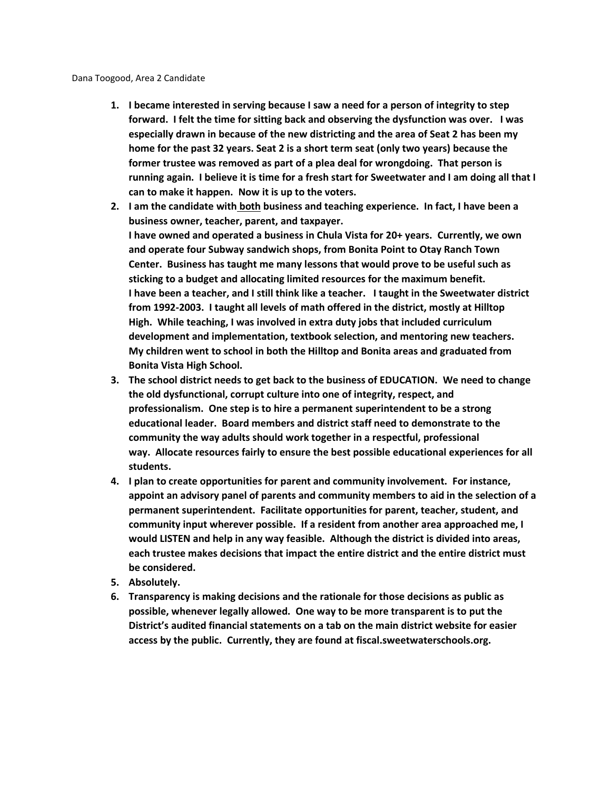- **1. I became interested in serving because I saw a need for a person of integrity to step forward. I felt the time for sitting back and observing the dysfunction was over. I was especially drawn in because of the new districting and the area of Seat 2 has been my home for the past 32 years. Seat 2 is a short term seat (only two years) because the former trustee was removed as part of a plea deal for wrongdoing. That person is running again. I believe it is time for a fresh start for Sweetwater and I am doing all that I can to make it happen. Now it is up to the voters.**
- **2. I am the candidate with both business and teaching experience. In fact, I have been a business owner, teacher, parent, and taxpayer. I have owned and operated a business in Chula Vista for 20+ years. Currently, we own and operate four Subway sandwich shops, from Bonita Point to Otay Ranch Town Center. Business has taught me many lessons that would prove to be useful such as sticking to a budget and allocating limited resources for the maximum benefit. I have been a teacher, and I still think like a teacher. I taught in the Sweetwater district from 1992-2003. I taught all levels of math offered in the district, mostly at Hilltop High. While teaching, I was involved in extra duty jobs that included curriculum development and implementation, textbook selection, and mentoring new teachers. My children went to school in both the Hilltop and Bonita areas and graduated from Bonita Vista High School.**
- **3. The school district needs to get back to the business of EDUCATION. We need to change the old dysfunctional, corrupt culture into one of integrity, respect, and professionalism. One step is to hire a permanent superintendent to be a strong educational leader. Board members and district staff need to demonstrate to the community the way adults should work together in a respectful, professional way. Allocate resources fairly to ensure the best possible educational experiences for all students.**
- **4. I plan to create opportunities for parent and community involvement. For instance, appoint an advisory panel of parents and community members to aid in the selection of a permanent superintendent. Facilitate opportunities for parent, teacher, student, and community input wherever possible. If a resident from another area approached me, I would LISTEN and help in any way feasible. Although the district is divided into areas, each trustee makes decisions that impact the entire district and the entire district must be considered.**
- **5. Absolutely.**
- **6. Transparency is making decisions and the rationale for those decisions as public as possible, whenever legally allowed. One way to be more transparent is to put the District's audited financial statements on a tab on the main district website for easier access by the public. Currently, they are found at fiscal.sweetwaterschools.org.**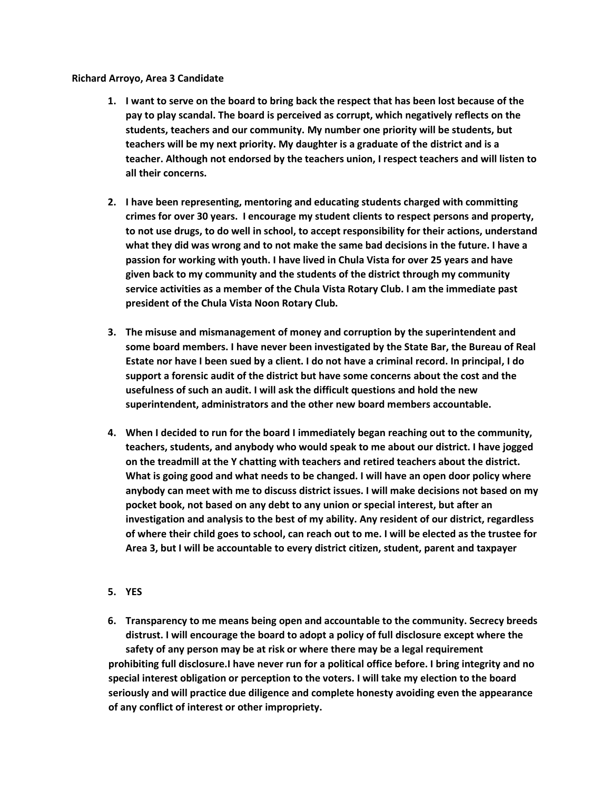#### **Richard Arroyo, Area 3 Candidate**

- **1. I want to serve on the board to bring back the respect that has been lost because of the pay to play scandal. The board is perceived as corrupt, which negatively reflects on the students, teachers and our community. My number one priority will be students, but teachers will be my next priority. My daughter is a graduate of the district and is a teacher. Although not endorsed by the teachers union, I respect teachers and will listen to all their concerns.**
- **2. I have been representing, mentoring and educating students charged with committing crimes for over 30 years. I encourage my student clients to respect persons and property, to not use drugs, to do well in school, to accept responsibility for their actions, understand what they did was wrong and to not make the same bad decisions in the future. I have a passion for working with youth. I have lived in Chula Vista for over 25 years and have given back to my community and the students of the district through my community service activities as a member of the Chula Vista Rotary Club. I am the immediate past president of the Chula Vista Noon Rotary Club.**
- **3. The misuse and mismanagement of money and corruption by the superintendent and some board members. I have never been investigated by the State Bar, the Bureau of Real Estate nor have I been sued by a client. I do not have a criminal record. In principal, I do support a forensic audit of the district but have some concerns about the cost and the usefulness of such an audit. I will ask the difficult questions and hold the new superintendent, administrators and the other new board members accountable.**
- **4. When I decided to run for the board I immediately began reaching out to the community, teachers, students, and anybody who would speak to me about our district. I have jogged on the treadmill at the Y chatting with teachers and retired teachers about the district. What is going good and what needs to be changed. I will have an open door policy where anybody can meet with me to discuss district issues. I will make decisions not based on my pocket book, not based on any debt to any union or special interest, but after an investigation and analysis to the best of my ability. Any resident of our district, regardless of where their child goes to school, can reach out to me. I will be elected as the trustee for Area 3, but I will be accountable to every district citizen, student, parent and taxpayer**

#### **5. YES**

**6. Transparency to me means being open and accountable to the community. Secrecy breeds distrust. I will encourage the board to adopt a policy of full disclosure except where the safety of any person may be at risk or where there may be a legal requirement prohibiting full disclosure.I have never run for a political office before. I bring integrity and no special interest obligation or perception to the voters. I will take my election to the board seriously and will practice due diligence and complete honesty avoiding even the appearance of any conflict of interest or other impropriety.**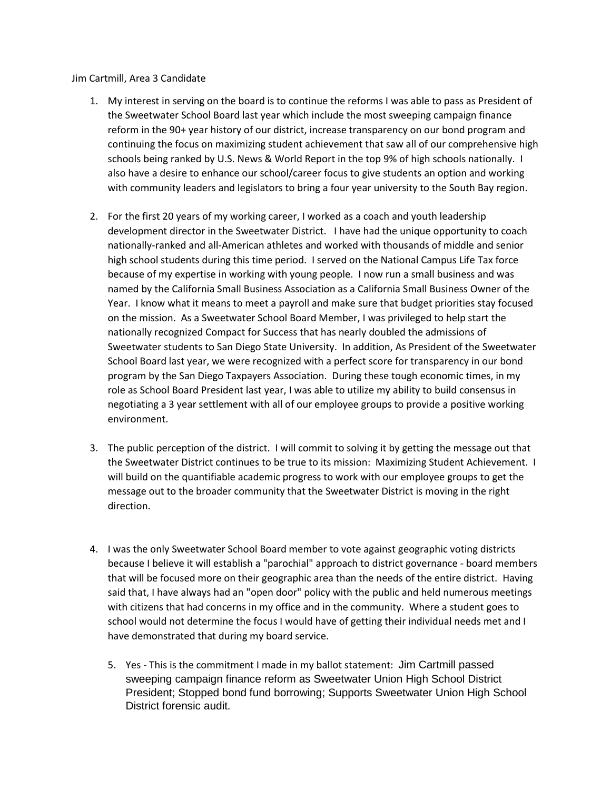Jim Cartmill, Area 3 Candidate

- 1. My interest in serving on the board is to continue the reforms I was able to pass as President of the Sweetwater School Board last year which include the most sweeping campaign finance reform in the 90+ year history of our district, increase transparency on our bond program and continuing the focus on maximizing student achievement that saw all of our comprehensive high schools being ranked by U.S. News & World Report in the top 9% of high schools nationally. I also have a desire to enhance our school/career focus to give students an option and working with community leaders and legislators to bring a four year university to the South Bay region.
- 2. For the first 20 years of my working career, I worked as a coach and youth leadership development director in the Sweetwater District. I have had the unique opportunity to coach nationally-ranked and all-American athletes and worked with thousands of middle and senior high school students during this time period. I served on the National Campus Life Tax force because of my expertise in working with young people. I now run a small business and was named by the California Small Business Association as a California Small Business Owner of the Year. I know what it means to meet a payroll and make sure that budget priorities stay focused on the mission. As a Sweetwater School Board Member, I was privileged to help start the nationally recognized Compact for Success that has nearly doubled the admissions of Sweetwater students to San Diego State University. In addition, As President of the Sweetwater School Board last year, we were recognized with a perfect score for transparency in our bond program by the San Diego Taxpayers Association. During these tough economic times, in my role as School Board President last year, I was able to utilize my ability to build consensus in negotiating a 3 year settlement with all of our employee groups to provide a positive working environment.
- 3. The public perception of the district. I will commit to solving it by getting the message out that the Sweetwater District continues to be true to its mission: Maximizing Student Achievement. I will build on the quantifiable academic progress to work with our employee groups to get the message out to the broader community that the Sweetwater District is moving in the right direction.
- 4. I was the only Sweetwater School Board member to vote against geographic voting districts because I believe it will establish a "parochial" approach to district governance - board members that will be focused more on their geographic area than the needs of the entire district. Having said that, I have always had an "open door" policy with the public and held numerous meetings with citizens that had concerns in my office and in the community. Where a student goes to school would not determine the focus I would have of getting their individual needs met and I have demonstrated that during my board service.
	- 5. Yes This is the commitment I made in my ballot statement: Jim Cartmill passed sweeping campaign finance reform as Sweetwater Union High School District President; Stopped bond fund borrowing; Supports Sweetwater Union High School District forensic audit.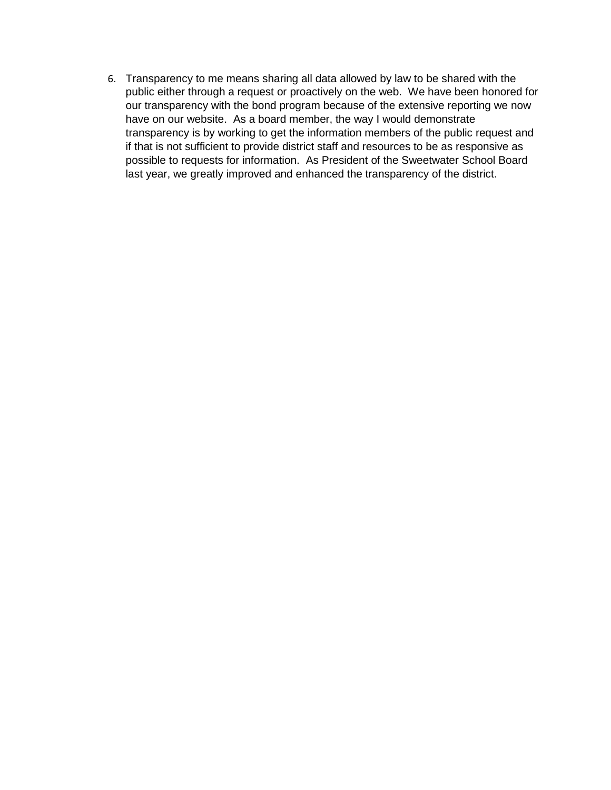6. Transparency to me means sharing all data allowed by law to be shared with the public either through a request or proactively on the web. We have been honored for our transparency with the bond program because of the extensive reporting we now have on our website. As a board member, the way I would demonstrate transparency is by working to get the information members of the public request and if that is not sufficient to provide district staff and resources to be as responsive as possible to requests for information. As President of the Sweetwater School Board last year, we greatly improved and enhanced the transparency of the district.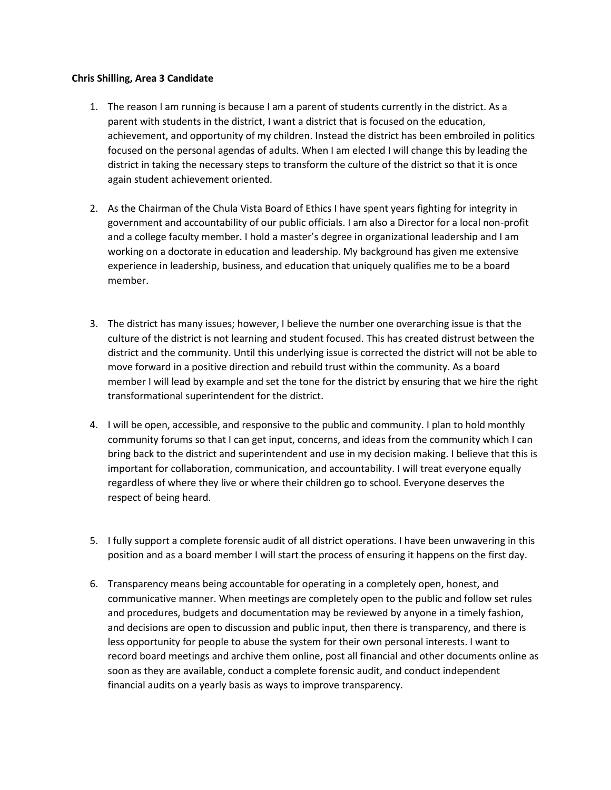#### **Chris Shilling, Area 3 Candidate**

- 1. The reason I am running is because I am a parent of students currently in the district. As a parent with students in the district, I want a district that is focused on the education, achievement, and opportunity of my children. Instead the district has been embroiled in politics focused on the personal agendas of adults. When I am elected I will change this by leading the district in taking the necessary steps to transform the culture of the district so that it is once again student achievement oriented.
- 2. As the Chairman of the Chula Vista Board of Ethics I have spent years fighting for integrity in government and accountability of our public officials. I am also a Director for a local non-profit and a college faculty member. I hold a master's degree in organizational leadership and I am working on a doctorate in education and leadership. My background has given me extensive experience in leadership, business, and education that uniquely qualifies me to be a board member.
- 3. The district has many issues; however, I believe the number one overarching issue is that the culture of the district is not learning and student focused. This has created distrust between the district and the community. Until this underlying issue is corrected the district will not be able to move forward in a positive direction and rebuild trust within the community. As a board member I will lead by example and set the tone for the district by ensuring that we hire the right transformational superintendent for the district.
- 4. I will be open, accessible, and responsive to the public and community. I plan to hold monthly community forums so that I can get input, concerns, and ideas from the community which I can bring back to the district and superintendent and use in my decision making. I believe that this is important for collaboration, communication, and accountability. I will treat everyone equally regardless of where they live or where their children go to school. Everyone deserves the respect of being heard.
- 5. I fully support a complete forensic audit of all district operations. I have been unwavering in this position and as a board member I will start the process of ensuring it happens on the first day.
- 6. Transparency means being accountable for operating in a completely open, honest, and communicative manner. When meetings are completely open to the public and follow set rules and procedures, budgets and documentation may be reviewed by anyone in a timely fashion, and decisions are open to discussion and public input, then there is transparency, and there is less opportunity for people to abuse the system for their own personal interests. I want to record board meetings and archive them online, post all financial and other documents online as soon as they are available, conduct a complete forensic audit, and conduct independent financial audits on a yearly basis as ways to improve transparency.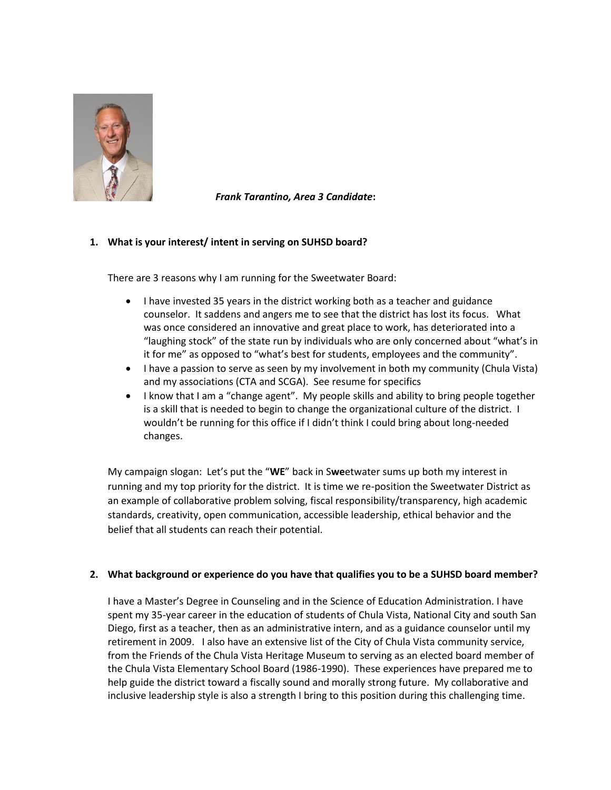

*Frank Tarantino, Area 3 Candidate***:**

#### **1. What is your interest/ intent in serving on SUHSD board?**

There are 3 reasons why I am running for the Sweetwater Board:

- I have invested 35 years in the district working both as a teacher and guidance counselor. It saddens and angers me to see that the district has lost its focus. What was once considered an innovative and great place to work, has deteriorated into a "laughing stock" of the state run by individuals who are only concerned about "what's in it for me" as opposed to "what's best for students, employees and the community".
- I have a passion to serve as seen by my involvement in both my community (Chula Vista) and my associations (CTA and SCGA). See resume for specifics
- I know that I am a "change agent". My people skills and ability to bring people together is a skill that is needed to begin to change the organizational culture of the district. I wouldn't be running for this office if I didn't think I could bring about long-needed changes.

My campaign slogan: Let's put the "**WE**" back in S**we**etwater sums up both my interest in running and my top priority for the district. It is time we re-position the Sweetwater District as an example of collaborative problem solving, fiscal responsibility/transparency, high academic standards, creativity, open communication, accessible leadership, ethical behavior and the belief that all students can reach their potential.

#### **2. What background or experience do you have that qualifies you to be a SUHSD board member?**

I have a Master's Degree in Counseling and in the Science of Education Administration. I have spent my 35-year career in the education of students of Chula Vista, National City and south San Diego, first as a teacher, then as an administrative intern, and as a guidance counselor until my retirement in 2009. I also have an extensive list of the City of Chula Vista community service, from the Friends of the Chula Vista Heritage Museum to serving as an elected board member of the Chula Vista Elementary School Board (1986-1990). These experiences have prepared me to help guide the district toward a fiscally sound and morally strong future. My collaborative and inclusive leadership style is also a strength I bring to this position during this challenging time.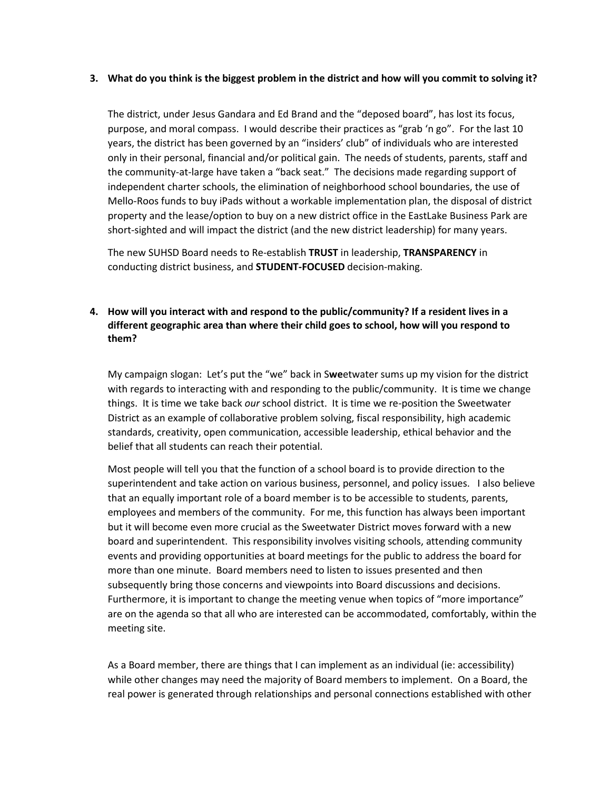#### **3. What do you think is the biggest problem in the district and how will you commit to solving it?**

The district, under Jesus Gandara and Ed Brand and the "deposed board", has lost its focus, purpose, and moral compass. I would describe their practices as "grab 'n go". For the last 10 years, the district has been governed by an "insiders' club" of individuals who are interested only in their personal, financial and/or political gain. The needs of students, parents, staff and the community-at-large have taken a "back seat." The decisions made regarding support of independent charter schools, the elimination of neighborhood school boundaries, the use of Mello-Roos funds to buy iPads without a workable implementation plan, the disposal of district property and the lease/option to buy on a new district office in the EastLake Business Park are short-sighted and will impact the district (and the new district leadership) for many years.

The new SUHSD Board needs to Re-establish **TRUST** in leadership, **TRANSPARENCY** in conducting district business, and **STUDENT-FOCUSED** decision-making.

#### **4. How will you interact with and respond to the public/community? If a resident lives in a different geographic area than where their child goes to school, how will you respond to them?**

My campaign slogan: Let's put the "we" back in S**we**etwater sums up my vision for the district with regards to interacting with and responding to the public/community. It is time we change things. It is time we take back *our* school district. It is time we re-position the Sweetwater District as an example of collaborative problem solving, fiscal responsibility, high academic standards, creativity, open communication, accessible leadership, ethical behavior and the belief that all students can reach their potential.

Most people will tell you that the function of a school board is to provide direction to the superintendent and take action on various business, personnel, and policy issues. I also believe that an equally important role of a board member is to be accessible to students, parents, employees and members of the community. For me, this function has always been important but it will become even more crucial as the Sweetwater District moves forward with a new board and superintendent. This responsibility involves visiting schools, attending community events and providing opportunities at board meetings for the public to address the board for more than one minute. Board members need to listen to issues presented and then subsequently bring those concerns and viewpoints into Board discussions and decisions. Furthermore, it is important to change the meeting venue when topics of "more importance" are on the agenda so that all who are interested can be accommodated, comfortably, within the meeting site.

As a Board member, there are things that I can implement as an individual (ie: accessibility) while other changes may need the majority of Board members to implement. On a Board, the real power is generated through relationships and personal connections established with other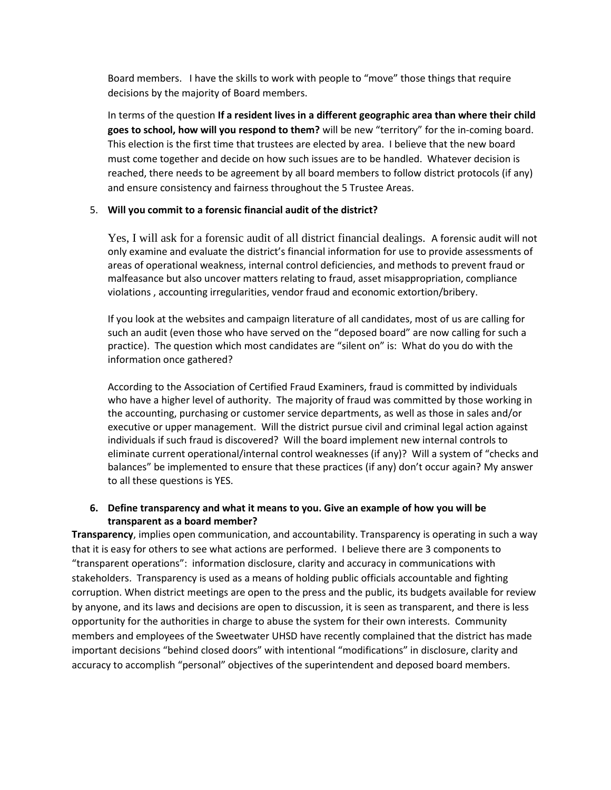Board members. I have the skills to work with people to "move" those things that require decisions by the majority of Board members.

In terms of the question **If a resident lives in a different geographic area than where their child goes to school, how will you respond to them?** will be new "territory" for the in-coming board. This election is the first time that trustees are elected by area. I believe that the new board must come together and decide on how such issues are to be handled. Whatever decision is reached, there needs to be agreement by all board members to follow district protocols (if any) and ensure consistency and fairness throughout the 5 Trustee Areas.

#### 5. **Will you commit to a forensic financial audit of the district?**

Yes, I will ask for a forensic audit of all district financial dealings. A forensic audit will not only examine and evaluate the district's financial information for use to provide assessments of areas of operational weakness, internal control deficiencies, and methods to prevent fraud or malfeasance but also uncover matters relating to fraud, asset misappropriation, compliance violations , accounting irregularities, vendor fraud and economic extortion/bribery.

If you look at the websites and campaign literature of all candidates, most of us are calling for such an audit (even those who have served on the "deposed board" are now calling for such a practice). The question which most candidates are "silent on" is: What do you do with the information once gathered?

According to the Association of Certified Fraud Examiners, fraud is committed by individuals who have a higher level of authority. The majority of fraud was committed by those working in the accounting, purchasing or customer service departments, as well as those in sales and/or executive or upper management. Will the district pursue civil and criminal legal action against individuals if such fraud is discovered? Will the board implement new internal controls to eliminate current operational/internal control weaknesses (if any)? Will a system of "checks and balances" be implemented to ensure that these practices (if any) don't occur again? My answer to all these questions is YES.

#### **6. Define transparency and what it means to you. Give an example of how you will be transparent as a board member?**

**Transparency**, implies open communication, and [accountability.](http://en.wikipedia.org/wiki/Accountability) Transparency is operating in such a way that it is easy for others to see what actions are performed. I believe there are 3 components to "transparent operations": information disclosure, clarity and accuracy in communications with stakeholders. Transparency is used as a means of holding [public officials](http://en.wikipedia.org/wiki/Official) [accountable](http://en.wikipedia.org/wiki/Accountability) and fighting [corruption.](http://en.wikipedia.org/wiki/Political_corruption) When district meetings are open to the [press](http://en.wikipedia.org/wiki/Mass_media) and the public, its [budgets](http://en.wikipedia.org/wiki/Budgets) available for review by anyone, and its laws and decisions are open to discussion, it is seen as transparent, and there is less opportunity for the authorities in charge to abuse the system for their own interests. Community members and employees of the Sweetwater UHSD have recently complained that the district has made important decisions "behind closed doors" with intentional "modifications" in disclosure, clarity and accuracy to accomplish "personal" objectives of the superintendent and deposed board members.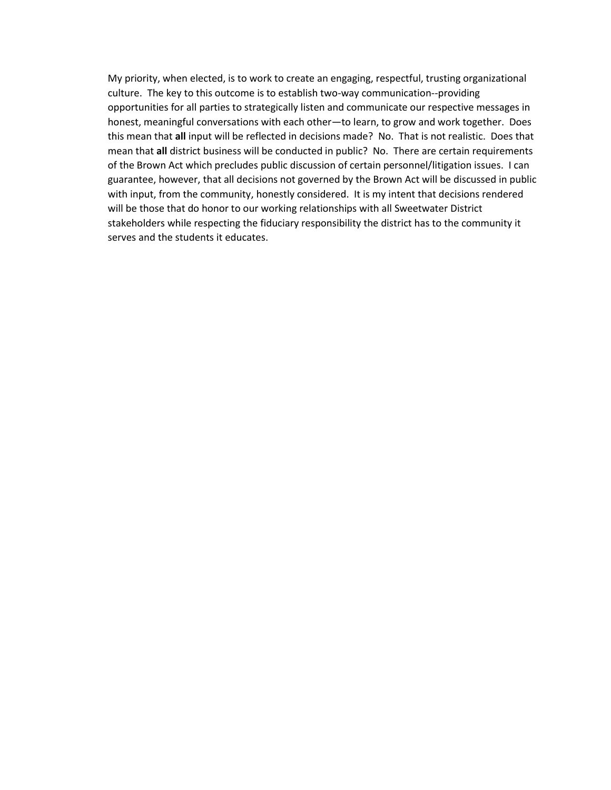My priority, when elected, is to work to create an engaging, respectful, trusting organizational culture. The key to this outcome is to establish two-way communication--providing opportunities for all parties to strategically listen and communicate our respective messages in honest, meaningful conversations with each other—to learn, to grow and work together. Does this mean that **all** input will be reflected in decisions made? No. That is not realistic. Does that mean that **all** district business will be conducted in public? No. There are certain requirements of the Brown Act which precludes public discussion of certain personnel/litigation issues. I can guarantee, however, that all decisions not governed by the Brown Act will be discussed in public with input, from the community, honestly considered. It is my intent that decisions rendered will be those that do honor to our working relationships with all Sweetwater District stakeholders while respecting the fiduciary responsibility the district has to the community it serves and the students it educates.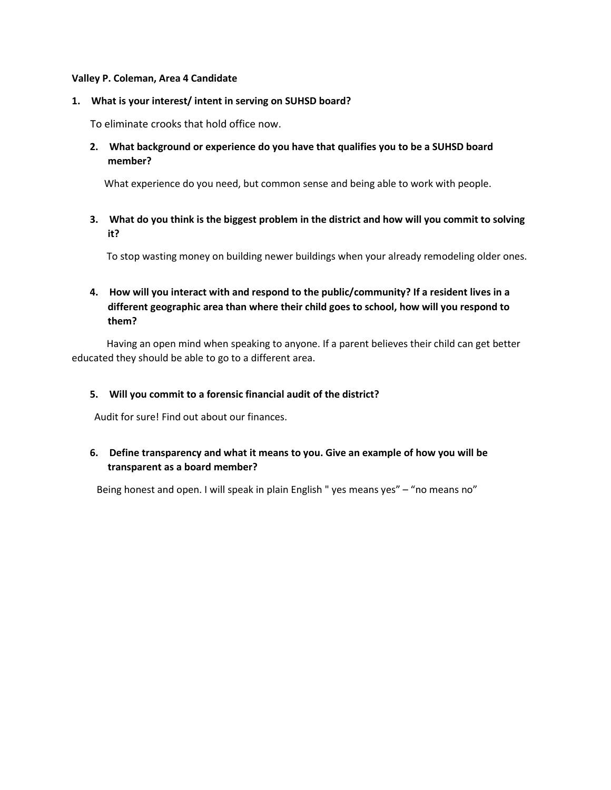#### **Valley P. Coleman, Area 4 Candidate**

#### **1. What is your interest/ intent in serving on SUHSD board?**

To eliminate crooks that hold office now.

**2. What background or experience do you have that qualifies you to be a SUHSD board member?**

What experience do you need, but common sense and being able to work with people.

**3. What do you think is the biggest problem in the district and how will you commit to solving it?**

To stop wasting money on building newer buildings when your already remodeling older ones.

#### **4. How will you interact with and respond to the public/community? If a resident lives in a different geographic area than where their child goes to school, how will you respond to them?**

Having an open mind when speaking to anyone. If a parent believes their child can get better educated they should be able to go to a different area.

#### **5. Will you commit to a forensic financial audit of the district?**

Audit for sure! Find out about our finances.

#### **6. Define transparency and what it means to you. Give an example of how you will be transparent as a board member?**

Being honest and open. I will speak in plain English " yes means yes" – "no means no"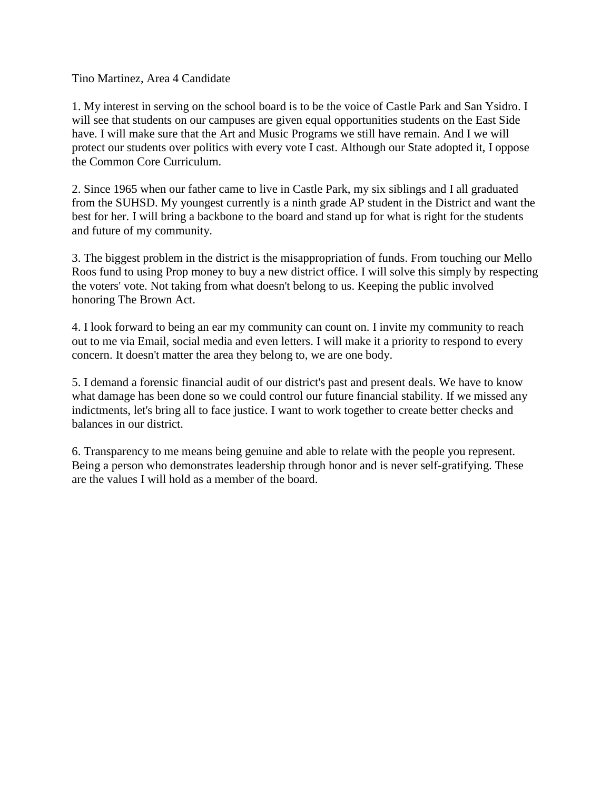#### Tino Martinez, Area 4 Candidate

1. My interest in serving on the school board is to be the voice of Castle Park and San Ysidro. I will see that students on our campuses are given equal opportunities students on the East Side have. I will make sure that the Art and Music Programs we still have remain. And I we will protect our students over politics with every vote I cast. Although our State adopted it, I oppose the Common Core Curriculum.

2. Since 1965 when our father came to live in Castle Park, my six siblings and I all graduated from the SUHSD. My youngest currently is a ninth grade AP student in the District and want the best for her. I will bring a backbone to the board and stand up for what is right for the students and future of my community.

3. The biggest problem in the district is the misappropriation of funds. From touching our Mello Roos fund to using Prop money to buy a new district office. I will solve this simply by respecting the voters' vote. Not taking from what doesn't belong to us. Keeping the public involved honoring The Brown Act.

4. I look forward to being an ear my community can count on. I invite my community to reach out to me via Email, social media and even letters. I will make it a priority to respond to every concern. It doesn't matter the area they belong to, we are one body.

5. I demand a forensic financial audit of our district's past and present deals. We have to know what damage has been done so we could control our future financial stability. If we missed any indictments, let's bring all to face justice. I want to work together to create better checks and balances in our district.

6. Transparency to me means being genuine and able to relate with the people you represent. Being a person who demonstrates leadership through honor and is never self-gratifying. These are the values I will hold as a member of the board.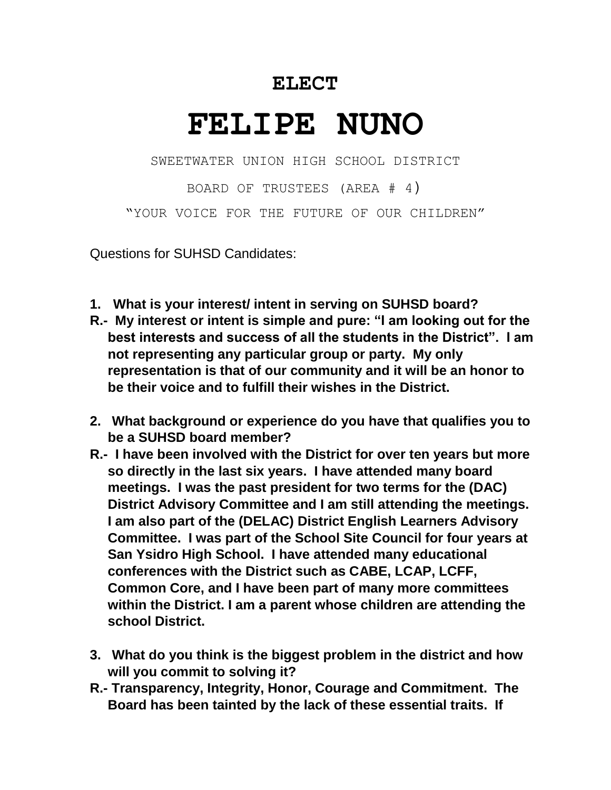# **ELECT**

# **FELIPE NUNO**

SWEETWATER UNION HIGH SCHOOL DISTRICT

BOARD OF TRUSTEES (AREA # 4) "YOUR VOICE FOR THE FUTURE OF OUR CHILDREN"

Questions for SUHSD Candidates:

- **1. What is your interest/ intent in serving on SUHSD board?**
- **R.- My interest or intent is simple and pure: "I am looking out for the best interests and success of all the students in the District". I am not representing any particular group or party. My only representation is that of our community and it will be an honor to be their voice and to fulfill their wishes in the District.**
- **2. What background or experience do you have that qualifies you to be a SUHSD board member?**
- **R.- I have been involved with the District for over ten years but more so directly in the last six years. I have attended many board meetings. I was the past president for two terms for the (DAC) District Advisory Committee and I am still attending the meetings. I am also part of the (DELAC) District English Learners Advisory Committee. I was part of the School Site Council for four years at San Ysidro High School. I have attended many educational conferences with the District such as CABE, LCAP, LCFF, Common Core, and I have been part of many more committees within the District. I am a parent whose children are attending the school District.**
- **3. What do you think is the biggest problem in the district and how will you commit to solving it?**
- **R.- Transparency, Integrity, Honor, Courage and Commitment. The Board has been tainted by the lack of these essential traits. If**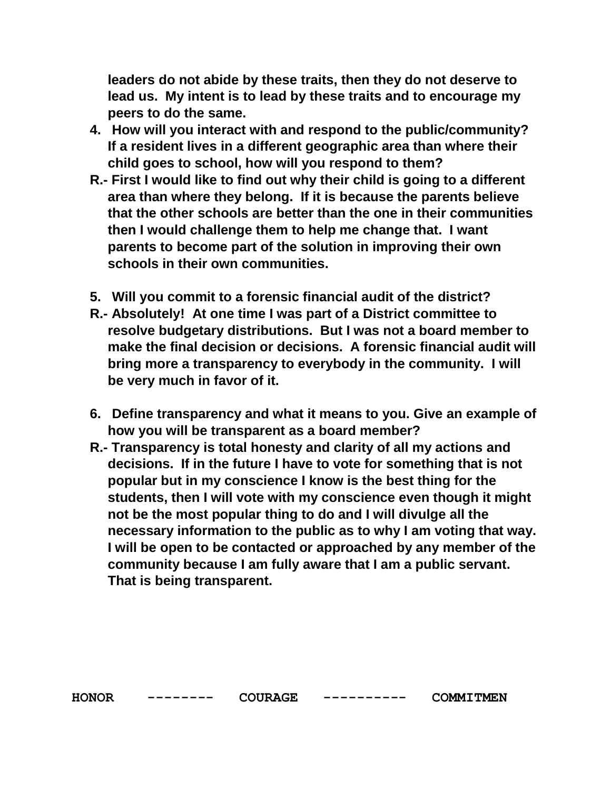**leaders do not abide by these traits, then they do not deserve to lead us. My intent is to lead by these traits and to encourage my peers to do the same.**

- **4. How will you interact with and respond to the public/community? If a resident lives in a different geographic area than where their child goes to school, how will you respond to them?**
- **R.- First I would like to find out why their child is going to a different area than where they belong. If it is because the parents believe that the other schools are better than the one in their communities then I would challenge them to help me change that. I want parents to become part of the solution in improving their own schools in their own communities.**
- **5. Will you commit to a forensic financial audit of the district?**
- **R.- Absolutely! At one time I was part of a District committee to resolve budgetary distributions. But I was not a board member to make the final decision or decisions. A forensic financial audit will bring more a transparency to everybody in the community. I will be very much in favor of it.**
- **6. Define transparency and what it means to you. Give an example of how you will be transparent as a board member?**
- **R.- Transparency is total honesty and clarity of all my actions and decisions. If in the future I have to vote for something that is not popular but in my conscience I know is the best thing for the students, then I will vote with my conscience even though it might not be the most popular thing to do and I will divulge all the necessary information to the public as to why I am voting that way. I will be open to be contacted or approached by any member of the community because I am fully aware that I am a public servant. That is being transparent.**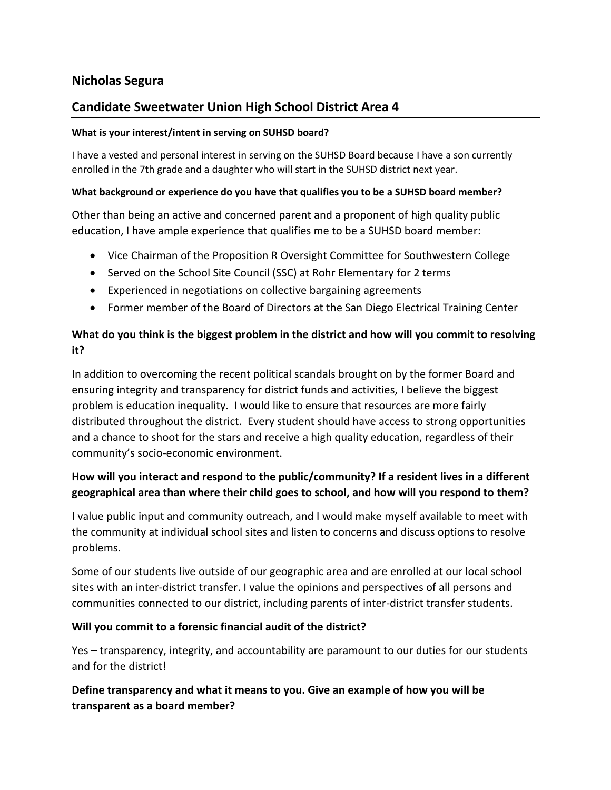# **Nicholas Segura**

# **Candidate Sweetwater Union High School District Area 4**

#### **What is your interest/intent in serving on SUHSD board?**

I have a vested and personal interest in serving on the SUHSD Board because I have a son currently enrolled in the 7th grade and a daughter who will start in the SUHSD district next year.

#### **What background or experience do you have that qualifies you to be a SUHSD board member?**

Other than being an active and concerned parent and a proponent of high quality public education, I have ample experience that qualifies me to be a SUHSD board member:

- Vice Chairman of the Proposition R Oversight Committee for Southwestern College
- Served on the School Site Council (SSC) at Rohr Elementary for 2 terms
- Experienced in negotiations on collective bargaining agreements
- Former member of the Board of Directors at the San Diego Electrical Training Center

## **What do you think is the biggest problem in the district and how will you commit to resolving it?**

In addition to overcoming the recent political scandals brought on by the former Board and ensuring integrity and transparency for district funds and activities, I believe the biggest problem is education inequality. I would like to ensure that resources are more fairly distributed throughout the district. Every student should have access to strong opportunities and a chance to shoot for the stars and receive a high quality education, regardless of their community's socio-economic environment.

# **How will you interact and respond to the public/community? If a resident lives in a different geographical area than where their child goes to school, and how will you respond to them?**

I value public input and community outreach, and I would make myself available to meet with the community at individual school sites and listen to concerns and discuss options to resolve problems.

Some of our students live outside of our geographic area and are enrolled at our local school sites with an inter-district transfer. I value the opinions and perspectives of all persons and communities connected to our district, including parents of inter-district transfer students.

#### **Will you commit to a forensic financial audit of the district?**

Yes – transparency, integrity, and accountability are paramount to our duties for our students and for the district!

**Define transparency and what it means to you. Give an example of how you will be transparent as a board member?**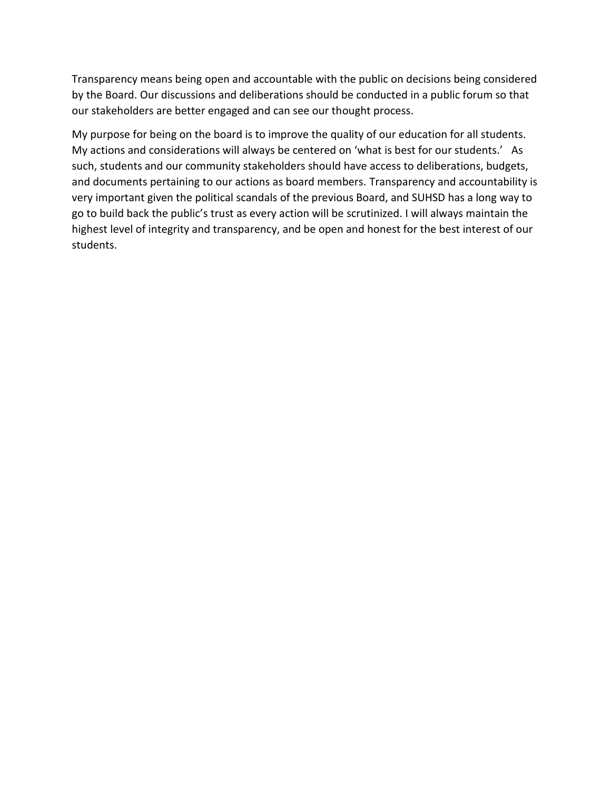Transparency means being open and accountable with the public on decisions being considered by the Board. Our discussions and deliberations should be conducted in a public forum so that our stakeholders are better engaged and can see our thought process.

My purpose for being on the board is to improve the quality of our education for all students. My actions and considerations will always be centered on 'what is best for our students.' As such, students and our community stakeholders should have access to deliberations, budgets, and documents pertaining to our actions as board members. Transparency and accountability is very important given the political scandals of the previous Board, and SUHSD has a long way to go to build back the public's trust as every action will be scrutinized. I will always maintain the highest level of integrity and transparency, and be open and honest for the best interest of our students.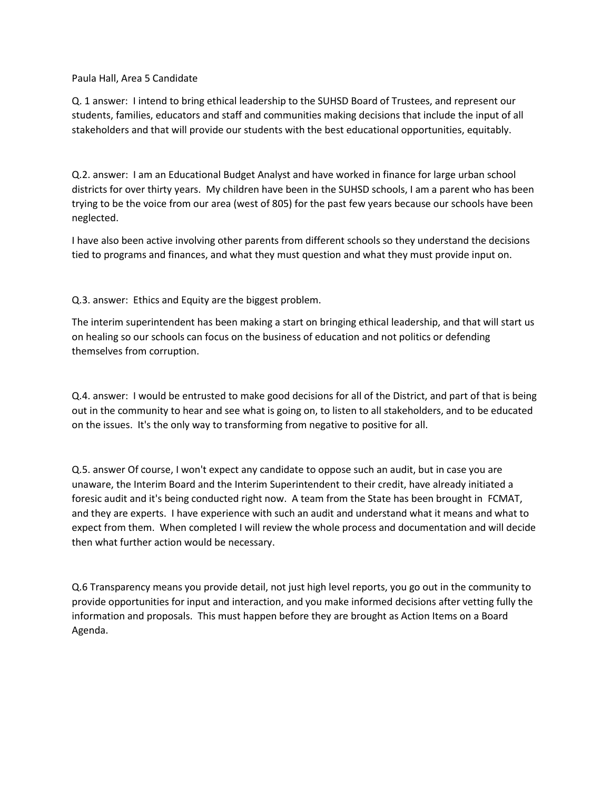Paula Hall, Area 5 Candidate

Q. 1 answer: I intend to bring ethical leadership to the SUHSD Board of Trustees, and represent our students, families, educators and staff and communities making decisions that include the input of all stakeholders and that will provide our students with the best educational opportunities, equitably.

Q.2. answer: I am an Educational Budget Analyst and have worked in finance for large urban school districts for over thirty years. My children have been in the SUHSD schools, I am a parent who has been trying to be the voice from our area (west of 805) for the past few years because our schools have been neglected.

I have also been active involving other parents from different schools so they understand the decisions tied to programs and finances, and what they must question and what they must provide input on.

Q.3. answer: Ethics and Equity are the biggest problem.

The interim superintendent has been making a start on bringing ethical leadership, and that will start us on healing so our schools can focus on the business of education and not politics or defending themselves from corruption.

Q.4. answer: I would be entrusted to make good decisions for all of the District, and part of that is being out in the community to hear and see what is going on, to listen to all stakeholders, and to be educated on the issues. It's the only way to transforming from negative to positive for all.

Q.5. answer Of course, I won't expect any candidate to oppose such an audit, but in case you are unaware, the Interim Board and the Interim Superintendent to their credit, have already initiated a foresic audit and it's being conducted right now. A team from the State has been brought in FCMAT, and they are experts. I have experience with such an audit and understand what it means and what to expect from them. When completed I will review the whole process and documentation and will decide then what further action would be necessary.

Q.6 Transparency means you provide detail, not just high level reports, you go out in the community to provide opportunities for input and interaction, and you make informed decisions after vetting fully the information and proposals. This must happen before they are brought as Action Items on a Board Agenda.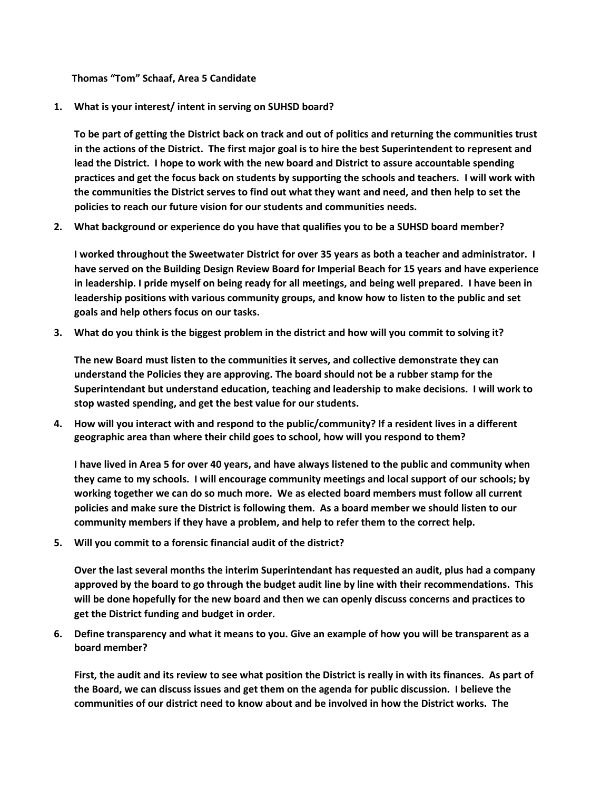**Thomas "Tom" Schaaf, Area 5 Candidate**

**1. What is your interest/ intent in serving on SUHSD board?**

**To be part of getting the District back on track and out of politics and returning the communities trust in the actions of the District. The first major goal is to hire the best Superintendent to represent and lead the District. I hope to work with the new board and District to assure accountable spending practices and get the focus back on students by supporting the schools and teachers. I will work with the communities the District serves to find out what they want and need, and then help to set the policies to reach our future vision for our students and communities needs.**

**2. What background or experience do you have that qualifies you to be a SUHSD board member?**

**I worked throughout the Sweetwater District for over 35 years as both a teacher and administrator. I have served on the Building Design Review Board for Imperial Beach for 15 years and have experience in leadership. I pride myself on being ready for all meetings, and being well prepared. I have been in leadership positions with various community groups, and know how to listen to the public and set goals and help others focus on our tasks.**

**3. What do you think is the biggest problem in the district and how will you commit to solving it?**

**The new Board must listen to the communities it serves, and collective demonstrate they can understand the Policies they are approving. The board should not be a rubber stamp for the Superintendant but understand education, teaching and leadership to make decisions. I will work to stop wasted spending, and get the best value for our students.**

**4. How will you interact with and respond to the public/community? If a resident lives in a different geographic area than where their child goes to school, how will you respond to them?** 

**I have lived in Area 5 for over 40 years, and have always listened to the public and community when they came to my schools. I will encourage community meetings and local support of our schools; by working together we can do so much more. We as elected board members must follow all current policies and make sure the District is following them. As a board member we should listen to our community members if they have a problem, and help to refer them to the correct help.**

**5. Will you commit to a forensic financial audit of the district?**

**Over the last several months the interim Superintendant has requested an audit, plus had a company approved by the board to go through the budget audit line by line with their recommendations. This will be done hopefully for the new board and then we can openly discuss concerns and practices to get the District funding and budget in order.** 

**6. Define transparency and what it means to you. Give an example of how you will be transparent as a board member?**

**First, the audit and its review to see what position the District is really in with its finances. As part of the Board, we can discuss issues and get them on the agenda for public discussion. I believe the communities of our district need to know about and be involved in how the District works. The**